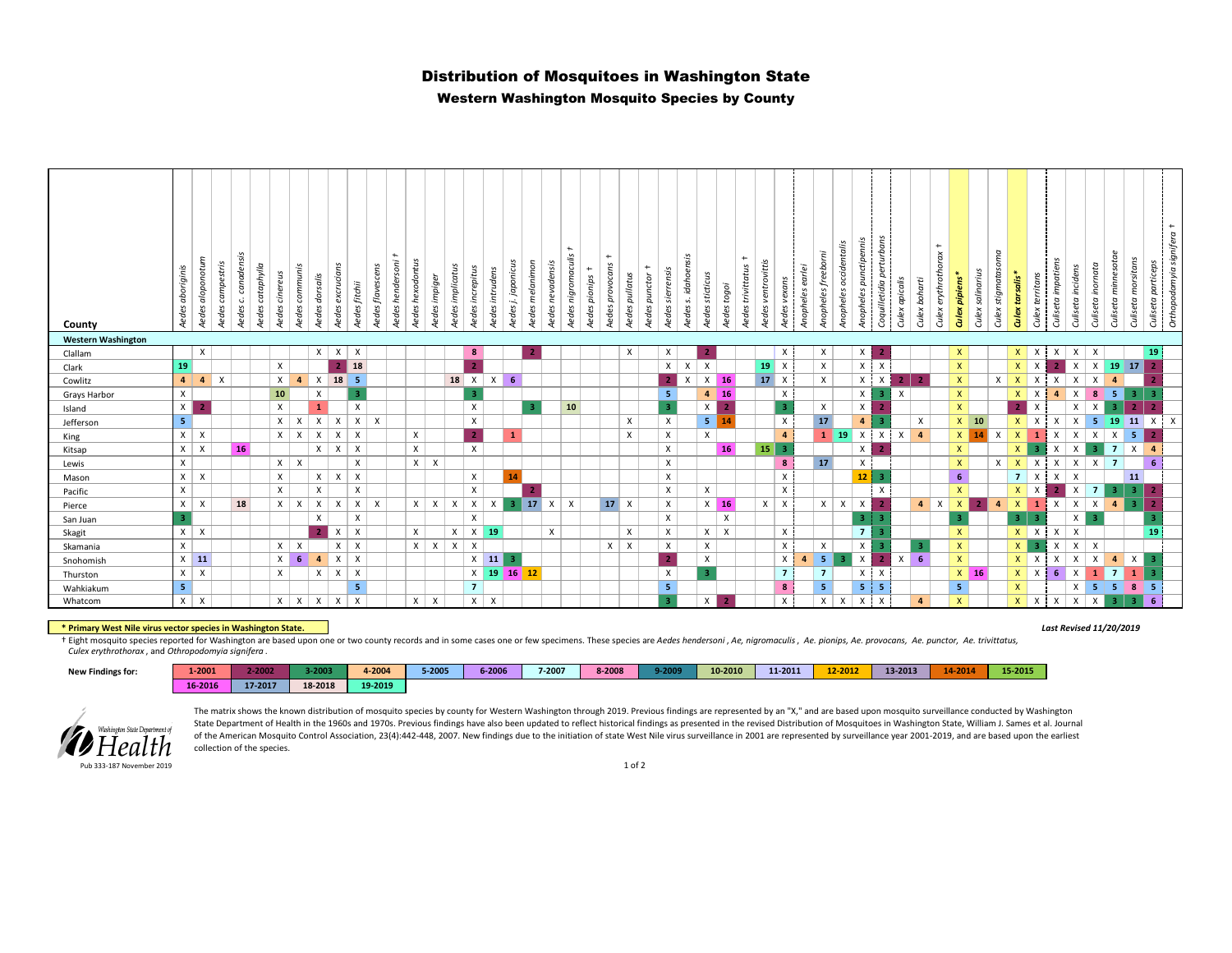# Distribution of Mosquitoes in Washington State

### Western Washington Mosquito Species by County

| County                    | Aedes aboriginis   | Aedes aloponotum          | Aedes campestris | S.<br>canadens<br>Ċ.<br>Aedes | Aedes cataphylla | Aedes cinereus               | Aedes communis<br>Aedes dorsalis | Aedes excrucians                          | Aedes fitchii                           | Aedes flavescens          | $\ddot{}$<br>Aedes hendersoni | Aedes hexodontus | Aedes impiger | Aedes implicatus | Aedes increpitus        | Aedes intrudens           | Aedes j. japonicus | Aedes melanimon | Aedes nevadensis | $\ddot{}$<br>Aedes nigromaculis | $+$<br>Aedes pionips | $\leftarrow$<br>Aedes provocans | Aedes pullatus            | $\leftarrow$<br>Aedes punctor | sierrensis<br>Aedes: | Aedes s. idahoensis | Aedes sticticus           | Aedes togoi              | $+$<br>Aedes trivittatus | Aedes ventrovittis | Aedes vexans                              | Anopheles earlei | Anopheles freeborni       | occidentalis<br>Anopheles | Anopheles punctipennis    | Coquilletidia perturbans | Culex apicalis | Culex boharti  | $+$<br>Culex erythrothorax | <b>Culex pipiens</b>         | Culex salinarius | Culex stigmatasoma | Culex tarsalis*                | Culex territans          | S<br>Culiseta impatien | Culiseta incidens              | Culiseta inomata          | $\omega$<br>Culiseta minnesota | Culiseta morsitans                | Culiseta particeps      | $+$<br>Orthopodomyia signifera |
|---------------------------|--------------------|---------------------------|------------------|-------------------------------|------------------|------------------------------|----------------------------------|-------------------------------------------|-----------------------------------------|---------------------------|-------------------------------|------------------|---------------|------------------|-------------------------|---------------------------|--------------------|-----------------|------------------|---------------------------------|----------------------|---------------------------------|---------------------------|-------------------------------|----------------------|---------------------|---------------------------|--------------------------|--------------------------|--------------------|-------------------------------------------|------------------|---------------------------|---------------------------|---------------------------|--------------------------|----------------|----------------|----------------------------|------------------------------|------------------|--------------------|--------------------------------|--------------------------|------------------------|--------------------------------|---------------------------|--------------------------------|-----------------------------------|-------------------------|--------------------------------|
| <b>Western Washington</b> |                    |                           |                  |                               |                  |                              |                                  |                                           |                                         |                           |                               |                  |               |                  |                         |                           |                    |                 |                  |                                 |                      |                                 |                           |                               |                      |                     |                           |                          |                          |                    |                                           |                  |                           |                           |                           |                          |                |                |                            |                              |                  |                    |                                |                          |                        |                                |                           |                                |                                   |                         |                                |
| Clallam                   |                    | $\mathsf{X}$              |                  |                               |                  |                              |                                  | $x \mid x \mid x$                         |                                         |                           |                               |                  |               |                  | 8 <sub>1</sub>          |                           |                    |                 |                  |                                 |                      |                                 | X                         |                               | X                    |                     |                           |                          |                          |                    | $\mathsf{X}$                              |                  | X                         |                           | X                         |                          |                |                |                            | $\mathsf{X}$                 |                  |                    |                                |                          | $X \mid X \mid X$      | X                              | X                         |                                |                                   | 19 <sup>1</sup>         |                                |
| Clark                     | 19                 |                           |                  |                               |                  | $\times$                     |                                  |                                           | $2$ 18                                  |                           |                               |                  |               |                  | $\overline{2}$          |                           |                    |                 |                  |                                 |                      |                                 |                           |                               | $x \mid x$           |                     | $\boldsymbol{\mathsf{X}}$ |                          |                          |                    | $19 \mid X$                               |                  | X                         |                           | $\mathsf{X}$              | $\mathsf{X}$             |                |                |                            | $\mathsf{X}$                 |                  |                    |                                | $x \mid x$               | $\overline{2}$         | $\mathbf{x}$                   |                           |                                | $X$ 19 17                         | $\overline{2}$          |                                |
| Cowlitz                   | 4                  | $\overline{4}$            | $\mathsf{X}$     |                               |                  | x <sub>1</sub>               | $\mathsf{x}$<br>$\overline{a}$   | 18                                        | 5                                       |                           |                               |                  |               | $18$ $\times$    |                         | $\mathsf{X}$              | 6                  |                 |                  |                                 |                      |                                 |                           |                               |                      |                     |                           | $X \mid 16$              |                          | 17 X               |                                           |                  | X                         |                           | X                         | $\mathsf{X}$             | 2 <sub>1</sub> |                |                            | $\mathsf{X}$                 |                  | $\times$           | $X$ $X$                        |                          | $\mathsf{x}$           | $\mathsf{X}$                   | X                         | $\mathbf{A}$                   |                                   |                         |                                |
| Grays Harbor              | $\mathsf{X}$       |                           |                  |                               |                  | 10                           | X                                |                                           | $\overline{\mathbf{3}}$                 |                           |                               |                  |               |                  | $\overline{\mathbf{3}}$ |                           |                    |                 |                  |                                 |                      |                                 |                           |                               | 5                    |                     |                           | $4 \mid 16$              |                          |                    | $\boldsymbol{\mathsf{X}}$                 |                  |                           |                           | X                         | $\mathbf{3}$             | X              |                |                            | $\mathsf{X}^-$               |                  |                    |                                | $x \mid x$               | $\overline{4}$         | $\boldsymbol{\mathsf{X}}$      | 8                         | 5 <sup>1</sup>                 | 3 <sup>1</sup>                    | -3                      |                                |
| Island                    | $\times$           | $\overline{2}$            |                  |                               |                  | $\boldsymbol{\mathsf{x}}$    | $\mathbf{1}$                     |                                           | $\mathsf{x}$                            |                           |                               |                  |               |                  | X                       |                           |                    |                 |                  | 10                              |                      |                                 |                           |                               | 3                    |                     | x                         |                          |                          |                    | $\overline{\mathbf{3}}$                   |                  | $\boldsymbol{\mathsf{x}}$ |                           | X                         | $\overline{2}$           |                |                |                            | $\mathsf{X}$                 |                  |                    |                                | $2$ $x$                  |                        | X                              | X                         | -31                            | 2 <sup>7</sup>                    | $\overline{2}$          |                                |
| Jefferson                 | 5                  |                           |                  |                               |                  | $x \mid$                     | $\boldsymbol{\mathsf{X}}$        | X<br>$\boldsymbol{\mathsf{x}}$            | X                                       | $\boldsymbol{\mathsf{x}}$ |                               |                  |               |                  | X                       |                           |                    |                 |                  |                                 |                      |                                 | X                         |                               | X                    |                     | 5 <sup>1</sup>            |                          |                          |                    | $\boldsymbol{\mathsf{x}}$                 |                  | 17                        |                           | $\Delta$                  | -2                       |                | $\pmb{\times}$ |                            | $X$ 10                       |                  |                    | $\mathsf{X}$                   | $\mathsf{x}$             | $\mathsf{X}$           | $\boldsymbol{\mathsf{x}}$      |                           |                                | $5 \mid 19 \mid 11 \mid X \mid X$ |                         |                                |
| King                      | $\times$           | $\mathsf{X}$              |                  |                               |                  | $x \mid x$                   |                                  | $\mathsf{x}$<br>$\boldsymbol{\mathsf{x}}$ | $\boldsymbol{\mathsf{x}}$               |                           |                               | X                |               |                  | $\overline{2}$          |                           |                    |                 |                  |                                 |                      |                                 | X                         |                               | X                    |                     | X                         |                          |                          |                    | $\overline{4}$                            |                  |                           | $1 \mid 19 \mid X$        |                           | $\times$                 | X              | $\overline{a}$ |                            |                              | $X$ 14           | $\mathsf{x}$       | $\mathsf{X}$                   | $\mathbf{1}$             | $\mathsf{x}$           | X                              | X                         | $\pmb{\chi}$                   | 5 <sub>1</sub>                    |                         |                                |
| Kitsap                    | x <sub>1</sub>     | $\mathsf{X}$              |                  | 16                            |                  |                              |                                  | $x \mid x \mid x$                         |                                         |                           |                               | $\mathsf{x}$     |               |                  | X                       |                           |                    |                 |                  |                                 |                      |                                 |                           |                               | X                    |                     |                           | 16                       |                          | $15$ 3             |                                           |                  |                           |                           | X                         |                          |                |                |                            | $\mathsf{X}$                 |                  |                    | x <sub>1</sub>                 | 3                        | $\times$               | $\boldsymbol{\mathsf{x}}$      | -3.                       | $\overline{7}$                 | $\mathsf{x}$                      | $\overline{4}$          |                                |
| Lewis                     | $\mathsf{x}$       |                           |                  |                               |                  | x <sub>1</sub>               | $\times$                         |                                           | $\boldsymbol{\mathsf{x}}$               |                           |                               | $x \mid x$       |               |                  |                         |                           |                    |                 |                  |                                 |                      |                                 |                           |                               | $\mathsf{x}$         |                     |                           |                          |                          |                    | $\boldsymbol{8}$                          |                  | 17                        |                           | Χ                         |                          |                |                |                            | $\mathsf{X}$                 |                  | $\times$           | $\mathsf{X}$                   | $\times$                 | $\times$               | $\times$                       | $\times$                  | $\overline{7}$                 |                                   | 6                       |                                |
| Mason                     | $\mathsf{x}$<br>X  | $\boldsymbol{\mathsf{x}}$ |                  |                               |                  | $\mathsf{x}$<br>$\mathsf{x}$ | $\boldsymbol{\mathsf{x}}$        | $x \mid$<br>$\mathsf{X}$                  | $\mathsf{X}$                            |                           |                               |                  |               |                  | X<br>X                  |                           | 14                 |                 |                  |                                 |                      |                                 |                           |                               | X<br>X               |                     |                           |                          |                          |                    | $\boldsymbol{\mathsf{x}}$<br>$\mathsf{X}$ |                  |                           |                           | 12 <sup>°</sup>           | -3<br>$\mathsf{x}$       |                |                |                            | 6 <sup>1</sup>               |                  |                    |                                | $7 \times$<br>$x \mid x$ | $\mathsf{X}$           | $\times$                       | 7 <sup>1</sup>            | 3 <sup>1</sup>                 | 11<br>3 <sup>1</sup>              | $\overline{2}$          |                                |
| Pacific                   |                    |                           |                  |                               |                  |                              |                                  |                                           | $\mathsf{x}$                            |                           |                               |                  |               |                  |                         |                           |                    |                 | $17 \times$      |                                 |                      |                                 |                           |                               |                      |                     | X                         |                          |                          |                    |                                           |                  |                           |                           |                           |                          |                |                |                            | $\mathsf{X}$                 |                  |                    |                                |                          |                        | $2 \mid X$                     |                           |                                | $\mathbf{R}$                      | $\overline{2}$          |                                |
| Pierce                    | $\mathsf{x}$<br>3. | $\boldsymbol{\mathsf{X}}$ |                  | 18                            |                  | $x \mid x$                   | X                                | $\mathsf{X}$<br>X                         | $\mathsf{X}$<br>$\pmb{\chi}$            | $\mathsf{X}$              |                               | $x \mid x$       |               | $\mathsf{X}$     | $\mathsf{X}$<br>X       | $\boldsymbol{\mathsf{X}}$ | 3.                 |                 |                  | $\mathsf{x}$                    |                      | 17 X                            |                           |                               | X<br>X               |                     |                           | $X$ 16<br>$\pmb{\times}$ |                          | $x \mid x$         |                                           |                  |                           | $x \mid x \mid x$         | 3                         | 3                        |                | $4 \times$     |                            | $\mathsf{X}$<br>3            |                  | $\overline{a}$     | $\mathsf{x}$<br>3 <sup>1</sup> | $\mathbf{1}$<br>3        | $\mathsf{X}$           | $\boldsymbol{\mathsf{X}}$<br>X | X                         | $\overline{a}$                 |                                   | $\overline{\mathbf{3}}$ |                                |
| San Juan                  | $\times$           |                           |                  |                               |                  |                              |                                  |                                           |                                         |                           |                               |                  |               |                  |                         | 19                        |                    |                 |                  |                                 |                      |                                 |                           |                               |                      |                     |                           |                          |                          |                    |                                           |                  |                           |                           | $\overline{7}$            | -3.                      |                |                |                            |                              |                  |                    |                                |                          |                        |                                |                           |                                |                                   | 19                      |                                |
| Skagit                    |                    | $\mathsf{X}$              |                  |                               |                  |                              |                                  | $\boldsymbol{\mathsf{x}}$                 | $\mathsf{X}$                            |                           |                               | X                |               | $x \mid x$       |                         |                           |                    |                 | X                |                                 |                      |                                 | X                         |                               | X                    |                     | $x \mid x$                |                          |                          |                    | X                                         |                  |                           |                           |                           |                          |                |                |                            | $\mathsf{X}$                 |                  |                    |                                |                          | $X$ $X$ $X$ $X$        |                                |                           |                                |                                   |                         |                                |
| Skamania                  | $\mathsf{x}$       | $X$ 11                    |                  |                               |                  | $x \mid x$                   |                                  | X                                         | $\boldsymbol{\mathsf{x}}$<br>$x \mid x$ |                           |                               | $x \mid x$       |               | $x \mid x$       |                         | $X$ 11                    |                    |                 |                  |                                 |                      | $\mathsf{x}$                    | $\boldsymbol{\mathsf{X}}$ |                               | X<br>$\overline{2}$  |                     | X<br>X                    |                          |                          |                    | $\mathsf{X}$<br>$\mathsf{x}$              | $\overline{a}$   | X                         |                           | Χ                         |                          |                |                |                            | $\mathsf{X}$<br>$\mathsf{X}$ |                  |                    | $\mathsf{x}$                   | 3<br>$x \mid x$          | $\times$               | $\boldsymbol{\mathsf{X}}$      | X                         |                                |                                   | -3                      |                                |
| Snohomish                 |                    |                           |                  |                               |                  | $\mathsf{X}$                 | -6<br>$\overline{a}$             |                                           |                                         |                           |                               |                  |               |                  |                         |                           | -3                 |                 |                  |                                 |                      |                                 |                           |                               |                      |                     |                           |                          |                          |                    |                                           |                  | 5 <sub>1</sub>            |                           | $\boldsymbol{\mathsf{x}}$ |                          | X              | -6             |                            |                              |                  |                    |                                |                          | X                      | X                              | X                         | $\overline{a}$                 | $\boldsymbol{\mathsf{x}}$         | -3                      |                                |
| Thurston                  | x                  | $\mathsf{X}$              |                  |                               |                  | X                            |                                  | x <sub>1</sub><br>$\mathsf{x}$            | $\mathsf{X}$                            |                           |                               |                  |               |                  |                         |                           | $X$ 19 16 12       |                 |                  |                                 |                      |                                 |                           |                               | Χ                    |                     | -3                        |                          |                          |                    | $7^{\circ}$                               |                  | $\overline{7}$            |                           | $X$ $X$                   |                          |                |                |                            | $X$ 16                       |                  |                    |                                | $x \mid x$               | 6                      | $\boldsymbol{\mathsf{x}}$      |                           | $\overline{7}$                 | $\mathbf{1}$                      |                         |                                |
| Wahkiakum                 | 5                  |                           |                  |                               |                  |                              |                                  |                                           | -5                                      |                           |                               |                  |               |                  | $\overline{7}$          |                           |                    |                 |                  |                                 |                      |                                 |                           |                               | 5<br>э.              |                     |                           |                          |                          |                    | $\boldsymbol{8}$                          |                  | 5                         |                           | 5 <sub>1</sub>            | -5                       |                |                |                            | 5 <sub>1</sub>               |                  |                    | $\mathsf{X}$                   |                          |                        | X                              | 5                         | 5                              | 8                                 | -5                      |                                |
| Whatcom                   | $x \mid$           | X                         |                  |                               |                  | $x \mid x$                   |                                  | x<br>$\boldsymbol{\mathsf{X}}$            | $\boldsymbol{\mathsf{X}}$               |                           |                               | $x \mid x$       |               |                  | $x \mid x$              |                           |                    |                 |                  |                                 |                      |                                 |                           |                               |                      |                     | $\mathsf{X}$              |                          |                          |                    | $\boldsymbol{\mathsf{x}}$                 |                  | X                         | $\mathsf{X}$              | X                         | X                        |                | $\overline{4}$ |                            | $\mathsf{x}$                 |                  |                    |                                | $x \mid x$               | $x \mid x$             |                                | $\boldsymbol{\mathsf{X}}$ | 3                              | -3.                               | 6                       |                                |

#### **\* Primary West Nile virus vector species in Washington State.** *Last Revised 11/20/2019*

 *Culex erythrothorax* , and *Othropodomyia signifera* . + Eight mosquito species reported for Washington are based upon one or two county records and in some cases one or few specimens. These species are Aedes hendersoni, Ae, nigromaculis, Ae. pionips, Ae. provocans, Ae. puncto

| <b>New Findings for:</b> | 1-2001  | רחחר ר<br>e-euue | 3-2003  | 4-2004  | 5-2005 | 6-2006 | 7-2007 | 8-2008 | 9-2009 | 10-2010 | 11-2011 | 12-2012 | 13-2013 | $14 - 2014$ | 15-2015 |
|--------------------------|---------|------------------|---------|---------|--------|--------|--------|--------|--------|---------|---------|---------|---------|-------------|---------|
|                          | 16-2016 | 17-2017          | 18-2018 | 19-2019 |        |        |        |        |        |         |         |         |         |             |         |



The matrix shows the known distribution of mosquito species by county for Western Washington through 2019. Previous findings are represented by an "X," and are based upon mosquito surveillance conducted by Washington State Department of Health in the 1960s and 1970s. Previous findings have also been updated to reflect historical findings as presented in the revised Distribution of Mosquitoes in Washington State, William J. Sames et al. of the American Mosquito Control Association, 23(4):442-448, 2007. New findings due to the initiation of state West Nile virus surveillance in 2001 are represented by surveillance year 2001-2019, and are based upon the ear collection of the species.

Pub 333-187 November 2019

#### 1 of 2